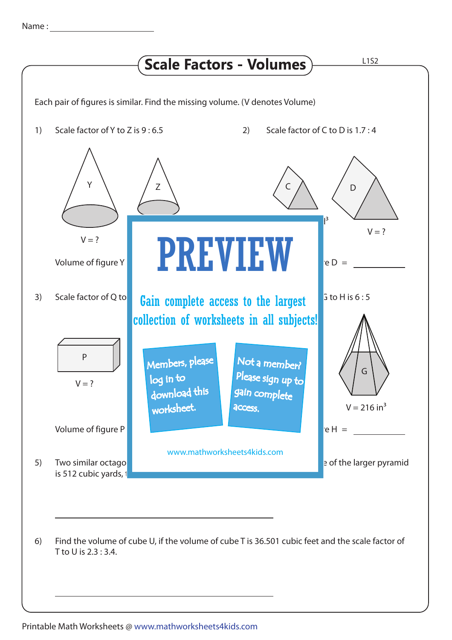